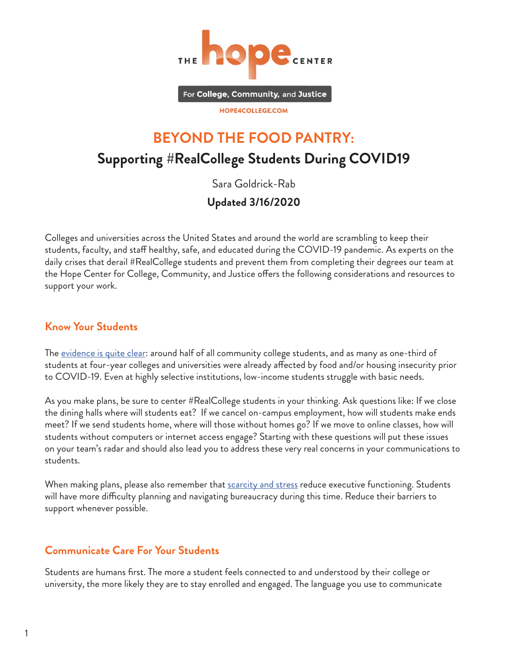

For College, Community, and Justice

#### HOPE4COLLEGE.COM

# **BEYOND THE FOOD PANTRY: Supporting #RealCollege Students During COVID19**

Sara Goldrick-Rab

## **Updated 3/16/2020**

Colleges and universities across the United States and around the world are scrambling to keep their students, faculty, and staff healthy, safe, and educated during the COVID-19 pandemic. As experts on the daily crises that derail #RealCollege students and prevent them from completing their degrees our team at the Hope Center for College, Community, and Justice offers the following considerations and resources to support your work.

#### **Know Your Students**

The [evidence is quite clear:](https://hope4college.com/realcollege-2020-five-years-of-evidence-on-basic-needs-insecurity/) around half of all community college students, and as many as one-third of students at four-year colleges and universities were already affected by food and/or housing insecurity prior to COVID-19. Even at highly selective institutions, low-income students struggle with basic needs.

As you make plans, be sure to center #RealCollege students in your thinking. Ask questions like: If we close the dining halls where will students eat? If we cancel on-campus employment, how will students make ends meet? If we send students home, where will those without homes go? If we move to online classes, how will students without computers or internet access engage? Starting with these questions will put these issues on your team's radar and should also lead you to address these very real concerns in your communications to students.

When making plans, please also remember that [scarcity and stress](https://www.apa.org/advocacy/socioeconomic-status/scarcity-fact-sheet.pdf) reduce executive functioning. Students will have more difficulty planning and navigating bureaucracy during this time. Reduce their barriers to support whenever possible.

#### **Communicate Care For Your Students**

Students are humans first. The more a student feels connected to and understood by their college or university, the more likely they are to stay enrolled and engaged. The language you use to communicate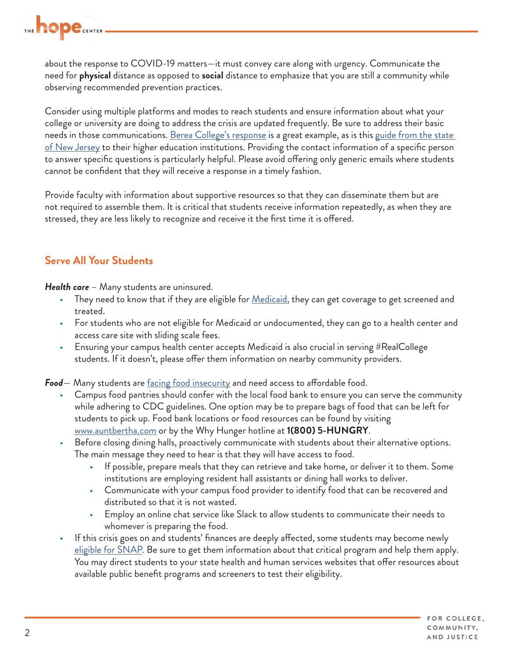

about the response to COVID-19 matters—it must convey care along with urgency. Communicate the need for **physical** distance as opposed to **social** distance to emphasize that you are still a community while observing recommended prevention practices.

Consider using multiple platforms and modes to reach students and ensure information about what your college or university are doing to address the crisis are updated frequently. Be sure to address their basic needs in those communications. <u>Berea College's response</u> is a great example, as is this <u>guide from the state</u> <u>[of New Jersey](https://nj.gov/highereducation/documents/pdf/index/COVID-19_A%20Guide%20for%20New%20Jersey%20Institutions%20of%20Higher%20Education.pdf)</u> to their higher education institutions. Providing the contact information of a specific person to answer specific questions is particularly helpful. Please avoid offering only generic emails where students cannot be confident that they will receive a response in a timely fashion.

Provide faculty with information about supportive resources so that they can disseminate them but are not required to assemble them. It is critical that students receive information repeatedly, as when they are stressed, they are less likely to recognize and receive it the first time it is offered.

#### **Serve All Your Students**

*Health care* – Many students are uninsured.

- They need to know that if they are eligible for *Medicaid*, they can get coverage to get screened and treated.
- For students who are not eligible for Medicaid or undocumented, they can go to a health center and access care site with sliding scale fees.
- Ensuring your campus health center accepts Medicaid is also crucial in serving #RealCollege students. If it doesn't, please offer them information on nearby community providers.

Food— Many students are [facing food insecurity](https://hope4college.com/realcollege-2020-five-years-of-evidence-on-basic-needs-insecurity/) and need access to affordable food.

- Campus food pantries should confer with the local food bank to ensure you can serve the community while adhering to CDC guidelines. One option may be to prepare bags of food that can be left for students to pick up. Food bank locations or food resources can be found by visiting [www.auntbertha.com](http://www.auntbertha.com/) or by the Why Hunger hotline at **1(800) 5-HUNGRY**.
- Before closing dining halls, proactively communicate with students about their alternative options. The main message they need to hear is that they will have access to food.
	- If possible, prepare meals that they can retrieve and take home, or deliver it to them. Some institutions are employing resident hall assistants or dining hall works to deliver.
	- Communicate with your campus food provider to identify food that can be recovered and distributed so that it is not wasted.
	- Employ an online chat service like Slack to allow students to communicate their needs to whomever is preparing the food.
- If this crisis goes on and students' finances are deeply affected, some students may become newly [eligible for SNAP](https://hope4college.com/wp-content/uploads/2019/04/Beyond-the-Food-Pantry-Student-Access-to-SNAP.pdf). Be sure to get them information about that critical program and help them apply. You may direct students to your state health and human services websites that offer resources about available public benefit programs and screeners to test their eligibility.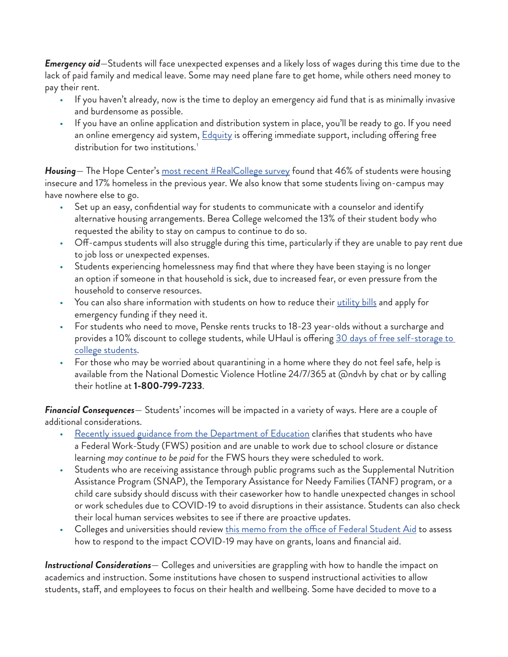*Emergency aid*—Students will face unexpected expenses and a likely loss of wages during this time due to the lack of paid family and medical leave. Some may need plane fare to get home, while others need money to pay their rent.

- If you haven't already, now is the time to deploy an emergency aid fund that is as minimally invasive and burdensome as possible.
- If you have an online application and distribution system in place, you'll be ready to go. If you need an online emergency aid system, **Edquity** is offering immediate support, including offering free distribution for two institutions.<sup>[1](#page-3-0)</sup>

*Housing*— The Hope Center's [most recent #RealCollege survey](https://hope4college.com/realcollege-2020-five-years-of-evidence-on-basic-needs-insecurity/) found that 46% of students were housing insecure and 17% homeless in the previous year. We also know that some students living on-campus may have nowhere else to go.

- Set up an easy, confidential way for students to communicate with a counselor and identify alternative housing arrangements. Berea College welcomed the 13% of their student body who requested the ability to stay on campus to continue to do so.
- Off-campus students will also struggle during this time, particularly if they are unable to pay rent due to job loss or unexpected expenses.
- Students experiencing homelessness may find that where they have been staying is no longer an option if someone in that household is sick, due to increased fear, or even pressure from the household to conserve resources.
- You can also share information with students on how to reduce their [utility bills](https://hope4college.com/beyond-the-food-pantry-lowering-college-students-bills-with-energy-assistance-programs/) and apply for emergency funding if they need it.
- For students who need to move, Penske rents trucks to 18-23 year-olds without a surcharge and provides a 10% discount to college students, while UHaul is offering 30 days of free self-storage to [college students](https://www.uhaul.com/Articles/About/20625/College-Students-U-Haul-Offers-30-Days-Free-Self-Storage-amid-Coronavirus-Outbreak/?utm_campaign=uhaulsm&utm_source=twitter&utm_medium=pr&utm_content=20200312-uhaulisoffering30).
- For those who may be worried about quarantining in a home where they do not feel safe, help is available from the National Domestic Violence Hotline 24/7/365 at @ndvh by chat or by calling their hotline at **1-800-799-7233**.

*Financial Consequences*— Students' incomes will be impacted in a variety of ways. Here are a couple of additional considerations.

- [Recently issued guidance from the Department of Education](https://ifap.ed.gov/electronic-announcements/030520Guidance4interruptionsrelated2CoronavirusCOVID19) clarifies that students who have a Federal Work-Study (FWS) position and are unable to work due to school closure or distance learning *may continue to be paid* for the FWS hours they were scheduled to work.
- Students who are receiving assistance through public programs such as the Supplemental Nutrition Assistance Program (SNAP), the Temporary Assistance for Needy Families (TANF) program, or a child care subsidy should discuss with their caseworker how to handle unexpected changes in school or work schedules due to COVID-19 to avoid disruptions in their assistance. Students can also check their local human services websites to see if there are proactive updates.
- Colleges and universities should review [this memo from the office of Federal Student Aid](https://ifap.ed.gov/electronic-announcements/030520Guidance4interruptionsrelated2CoronavirusCOVID19) to assess how to respond to the impact COVID-19 may have on grants, loans and financial aid.

*Instructional Considerations*— Colleges and universities are grappling with how to handle the impact on academics and instruction. Some institutions have chosen to suspend instructional activities to allow students, staff, and employees to focus on their health and wellbeing. Some have decided to move to a